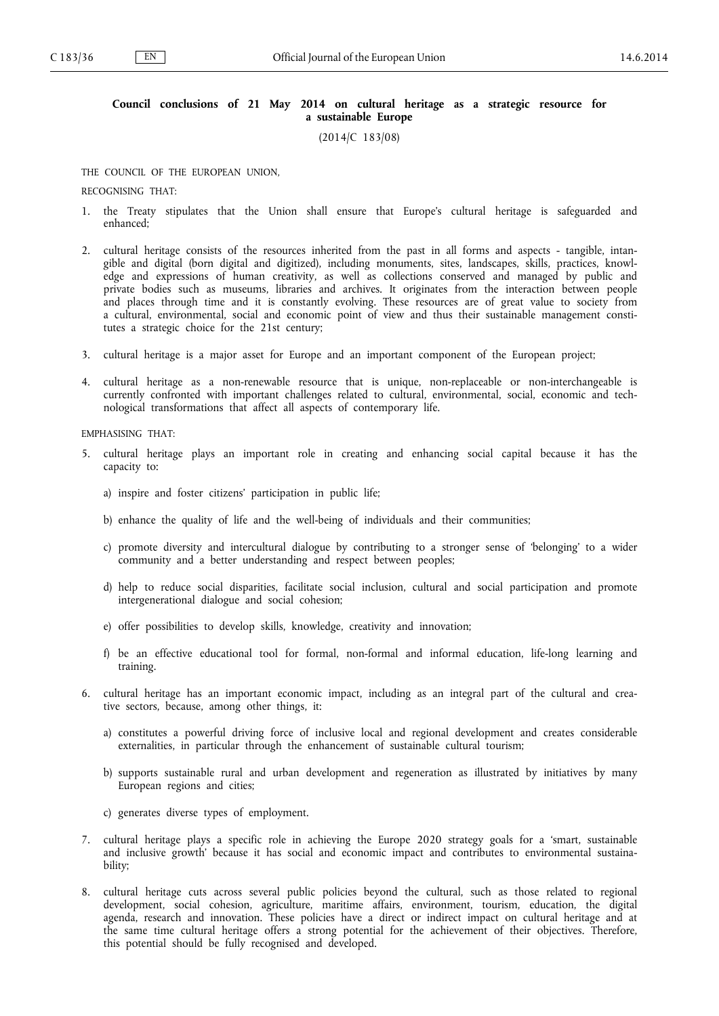## **Council conclusions of 21 May 2014 on cultural heritage as a strategic resource for a sustainable Europe**

(2014/C 183/08)

THE COUNCIL OF THE EUROPEAN UNION,

RECOGNISING THAT:

- 1. the Treaty stipulates that the Union shall ensure that Europe's cultural heritage is safeguarded and enhanced;
- 2. cultural heritage consists of the resources inherited from the past in all forms and aspects tangible, intan gible and digital (born digital and digitized), including monuments, sites, landscapes, skills, practices, knowl edge and expressions of human creativity, as well as collections conserved and managed by public and private bodies such as museums, libraries and archives. It originates from the interaction between people and places through time and it is constantly evolving. These resources are of great value to society from a cultural, environmental, social and economic point of view and thus their sustainable management consti tutes a strategic choice for the 21st century;
- 3. cultural heritage is a major asset for Europe and an important component of the European project;
- 4. cultural heritage as a non-renewable resource that is unique, non-replaceable or non-interchangeable is currently confronted with important challenges related to cultural, environmental, social, economic and tech nological transformations that affect all aspects of contemporary life.

EMPHASISING THAT:

- 5. cultural heritage plays an important role in creating and enhancing social capital because it has the capacity to:
	- a) inspire and foster citizens' participation in public life;
	- b) enhance the quality of life and the well-being of individuals and their communities;
	- c) promote diversity and intercultural dialogue by contributing to a stronger sense of 'belonging' to a wider community and a better understanding and respect between peoples;
	- d) help to reduce social disparities, facilitate social inclusion, cultural and social participation and promote intergenerational dialogue and social cohesion;
	- e) offer possibilities to develop skills, knowledge, creativity and innovation;
	- f) be an effective educational tool for formal, non-formal and informal education, life-long learning and training.
- 6. cultural heritage has an important economic impact, including as an integral part of the cultural and crea tive sectors, because, among other things, it:
	- a) constitutes a powerful driving force of inclusive local and regional development and creates considerable externalities, in particular through the enhancement of sustainable cultural tourism;
	- b) supports sustainable rural and urban development and regeneration as illustrated by initiatives by many European regions and cities;
	- c) generates diverse types of employment.
- 7. cultural heritage plays a specific role in achieving the Europe 2020 strategy goals for a 'smart, sustainable and inclusive growth' because it has social and economic impact and contributes to environmental sustaina bility;
- 8. cultural heritage cuts across several public policies beyond the cultural, such as those related to regional development, social cohesion, agriculture, maritime affairs, environment, tourism, education, the digital agenda, research and innovation. These policies have a direct or indirect impact on cultural heritage and at the same time cultural heritage offers a strong potential for the achievement of their objectives. Therefore, this potential should be fully recognised and developed.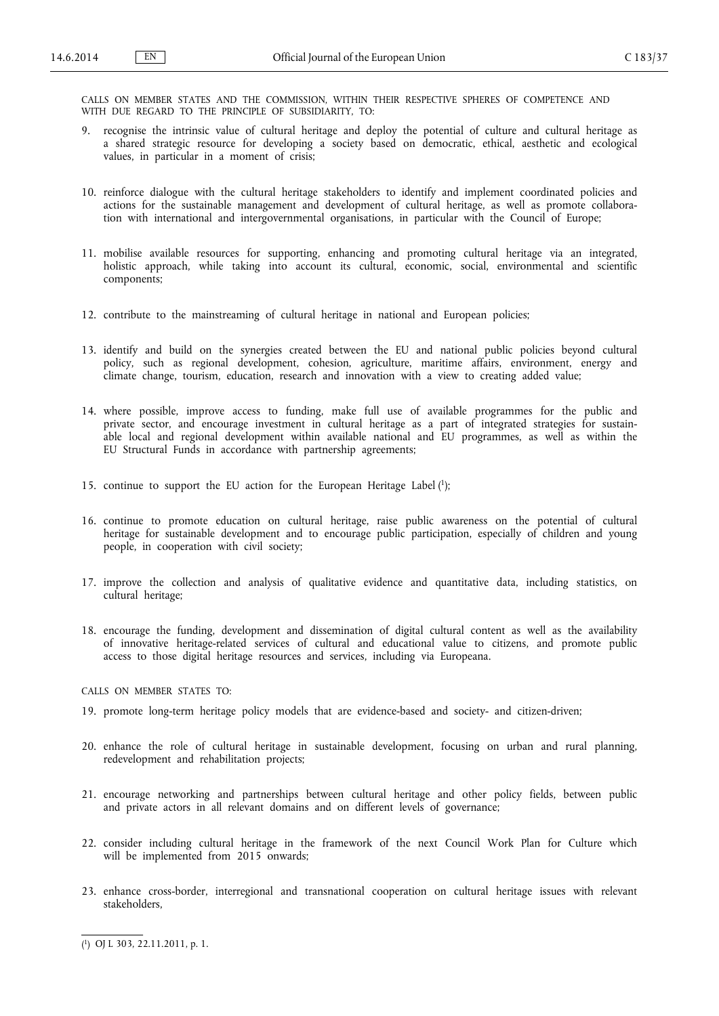CALLS ON MEMBER STATES AND THE COMMISSION, WITHIN THEIR RESPECTIVE SPHERES OF COMPETENCE AND WITH DUE REGARD TO THE PRINCIPLE OF SUBSIDIARITY, TO:

- 9. recognise the intrinsic value of cultural heritage and deploy the potential of culture and cultural heritage as a shared strategic resource for developing a society based on democratic, ethical, aesthetic and ecological values, in particular in a moment of crisis;
- 10. reinforce dialogue with the cultural heritage stakeholders to identify and implement coordinated policies and actions for the sustainable management and development of cultural heritage, as well as promote collabora tion with international and intergovernmental organisations, in particular with the Council of Europe;
- 11. mobilise available resources for supporting, enhancing and promoting cultural heritage via an integrated, holistic approach, while taking into account its cultural, economic, social, environmental and scientific components;
- 12. contribute to the mainstreaming of cultural heritage in national and European policies;
- 13. identify and build on the synergies created between the EU and national public policies beyond cultural policy, such as regional development, cohesion, agriculture, maritime affairs, environment, energy and climate change, tourism, education, research and innovation with a view to creating added value;
- 14. where possible, improve access to funding, make full use of available programmes for the public and private sector, and encourage investment in cultural heritage as a part of integrated strategies for sustainable local and regional development within available national and EU programmes, as well as within the EU Structural Funds in accordance with partnership agreements;
- 15. continue to support the EU action for the European Heritage Label ( 1 );
- 16. continue to promote education on cultural heritage, raise public awareness on the potential of cultural heritage for sustainable development and to encourage public participation, especially of children and young people, in cooperation with civil society;
- 17. improve the collection and analysis of qualitative evidence and quantitative data, including statistics, on cultural heritage;
- 18. encourage the funding, development and dissemination of digital cultural content as well as the availability of innovative heritage-related services of cultural and educational value to citizens, and promote public access to those digital heritage resources and services, including via Europeana.
- CALLS ON MEMBER STATES TO:
- 19. promote long-term heritage policy models that are evidence-based and society- and citizen-driven;
- 20. enhance the role of cultural heritage in sustainable development, focusing on urban and rural planning, redevelopment and rehabilitation projects;
- 21. encourage networking and partnerships between cultural heritage and other policy fields, between public and private actors in all relevant domains and on different levels of governance;
- 22. consider including cultural heritage in the framework of the next Council Work Plan for Culture which will be implemented from 2015 onwards;
- 23. enhance cross-border, interregional and transnational cooperation on cultural heritage issues with relevant stakeholders,

<sup>(</sup> 1 ) OJ L 303, 22.11.2011, p. 1.